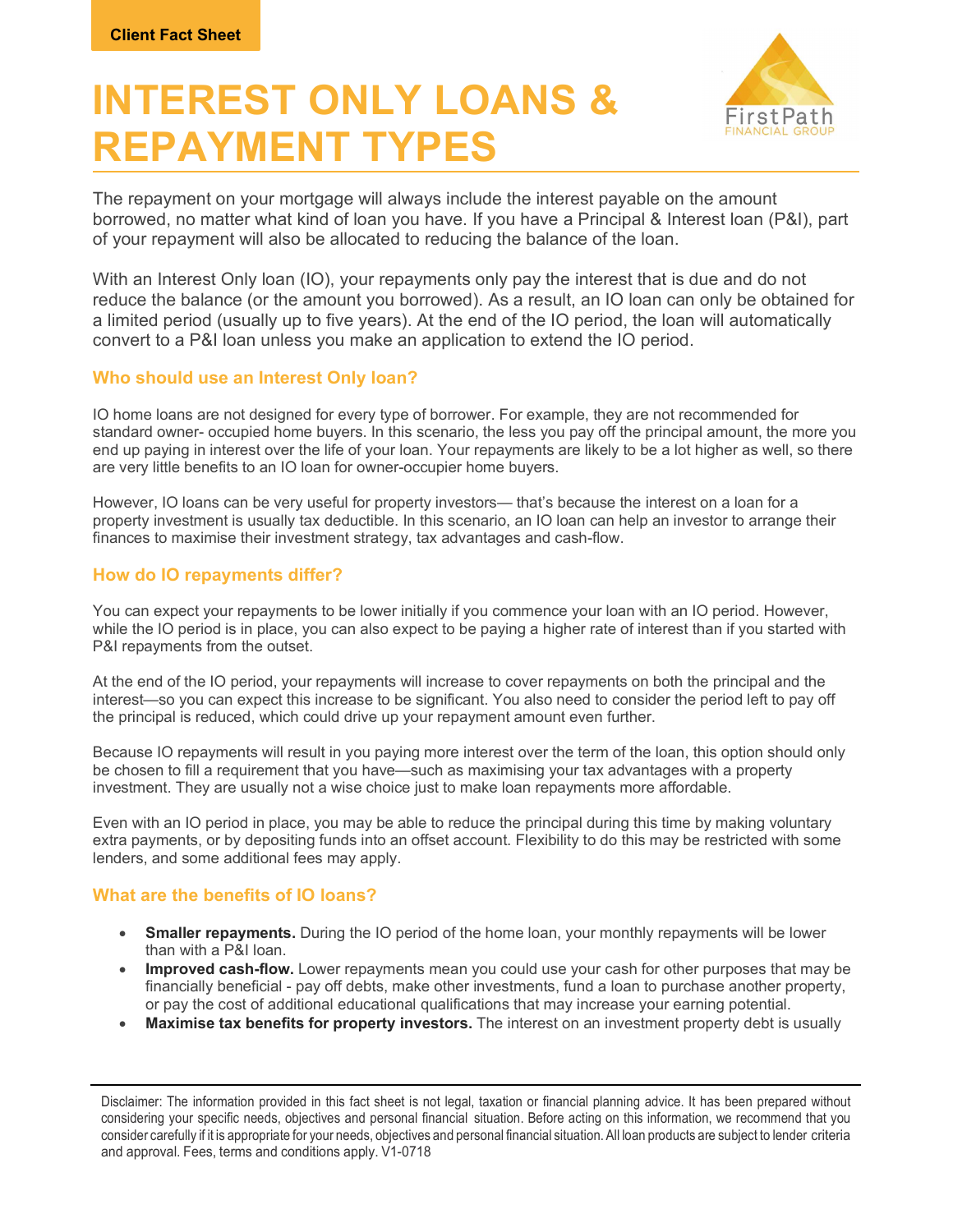# INTEREST ONLY LOANS & REPAYMENT TYPES



The repayment on your mortgage will always include the interest payable on the amount borrowed, no matter what kind of loan you have. If you have a Principal & Interest loan (P&I), part of your repayment will also be allocated to reducing the balance of the loan.

With an Interest Only loan (IO), your repayments only pay the interest that is due and do not reduce the balance (or the amount you borrowed). As a result, an IO loan can only be obtained for a limited period (usually up to five years). At the end of the IO period, the loan will automatically convert to a P&I loan unless you make an application to extend the IO period.

#### Who should use an Interest Only loan?

IO home loans are not designed for every type of borrower. For example, they are not recommended for standard owner- occupied home buyers. In this scenario, the less you pay off the principal amount, the more you end up paying in interest over the life of your loan. Your repayments are likely to be a lot higher as well, so there are very little benefits to an IO loan for owner-occupier home buyers.

However, IO loans can be very useful for property investors— that's because the interest on a loan for a property investment is usually tax deductible. In this scenario, an IO loan can help an investor to arrange their finances to maximise their investment strategy, tax advantages and cash-flow.

### How do IO repayments differ?

You can expect your repayments to be lower initially if you commence your loan with an IO period. However, while the IO period is in place, you can also expect to be paying a higher rate of interest than if you started with P&I repayments from the outset.

At the end of the IO period, your repayments will increase to cover repayments on both the principal and the interest—so you can expect this increase to be significant. You also need to consider the period left to pay off the principal is reduced, which could drive up your repayment amount even further.

Because IO repayments will result in you paying more interest over the term of the loan, this option should only be chosen to fill a requirement that you have—such as maximising your tax advantages with a property investment. They are usually not a wise choice just to make loan repayments more affordable.

Even with an IO period in place, you may be able to reduce the principal during this time by making voluntary extra payments, or by depositing funds into an offset account. Flexibility to do this may be restricted with some lenders, and some additional fees may apply.

#### What are the benefits of IO loans?

- Smaller repayments. During the IO period of the home loan, your monthly repayments will be lower than with a P&I loan.
- Improved cash-flow. Lower repayments mean you could use your cash for other purposes that may be financially beneficial - pay off debts, make other investments, fund a loan to purchase another property, or pay the cost of additional educational qualifications that may increase your earning potential.
- Maximise tax benefits for property investors. The interest on an investment property debt is usually

Disclaimer: The information provided in this fact sheet is not legal, taxation or financial planning advice. It has been prepared without considering your specific needs, objectives and personal financial situation. Before acting on this information, we recommend that you consider carefully if it is appropriate for your needs, objectives and personal financial situation. All loan products are subject to lender criteria and approval. Fees, terms and conditions apply. V1-0718